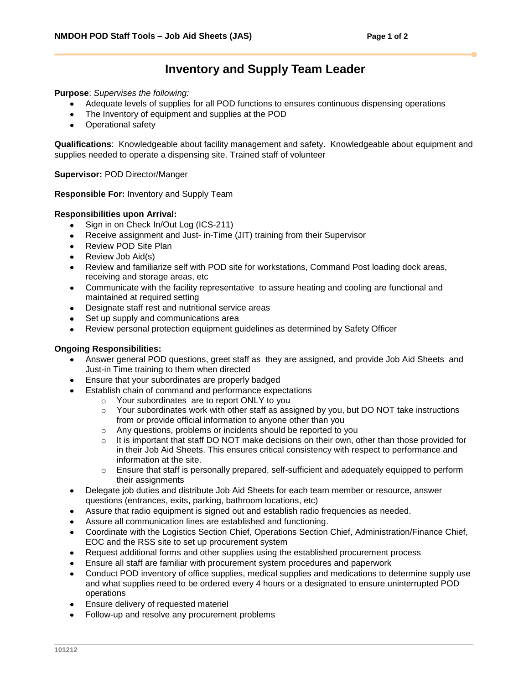## **Inventory and Supply Team Leader**

**Purpose**: *Supervises the following:*

- Adequate levels of supplies for all POD functions to ensures continuous dispensing operations
- The Inventory of equipment and supplies at the POD
- $\bullet$ Operational safety

**Qualifications**:Knowledgeable about facility management and safety. Knowledgeable about equipment and supplies needed to operate a dispensing site. Trained staff of volunteer

**Supervisor:** POD Director/Manger

**Responsible For:** Inventory and Supply Team

## **Responsibilities upon Arrival:**

- Sign in on Check In/Out Log (ICS-211)  $\bullet$
- Receive assignment and Just- in-Time (JIT) training from their Supervisor
- Review POD Site Plan  $\bullet$
- Review Job Aid(s)
- Review and familiarize self with POD site for workstations, Command Post loading dock areas, receiving and storage areas, etc
- Communicate with the facility representative to assure heating and cooling are functional and  $\bullet$ maintained at required setting
- Designate staff rest and nutritional service areas
- Set up supply and communications area
- Review personal protection equipment guidelines as determined by Safety Officer

## **Ongoing Responsibilities:**

- Answer general POD questions, greet staff as they are assigned, and provide Job Aid Sheets and Just-in Time training to them when directed
- Ensure that your subordinates are properly badged
- Establish chain of command and performance expectations
	- o Your subordinates are to report ONLY to you
	- $\circ$  Your subordinates work with other staff as assigned by you, but DO NOT take instructions from or provide official information to anyone other than you
	- o Any questions, problems or incidents should be reported to you
	- $\circ$  It is important that staff DO NOT make decisions on their own, other than those provided for in their Job Aid Sheets. This ensures critical consistency with respect to performance and information at the site.
	- $\circ$  Ensure that staff is personally prepared, self-sufficient and adequately equipped to perform their assignments
- Delegate job duties and distribute Job Aid Sheets for each team member or resource, answer questions (entrances, exits, parking, bathroom locations, etc)
- Assure that radio equipment is signed out and establish radio frequencies as needed.
- Assure all communication lines are established and functioning.
- Coordinate with the Logistics Section Chief, Operations Section Chief, Administration/Finance Chief, EOC and the RSS site to set up procurement system
- Request additional forms and other supplies using the established procurement process
- Ensure all staff are familiar with procurement system procedures and paperwork
- Conduct POD inventory of office supplies, medical supplies and medications to determine supply use and what supplies need to be ordered every 4 hours or a designated to ensure uninterrupted POD operations
- Ensure delivery of requested materiel
- Follow-up and resolve any procurement problems